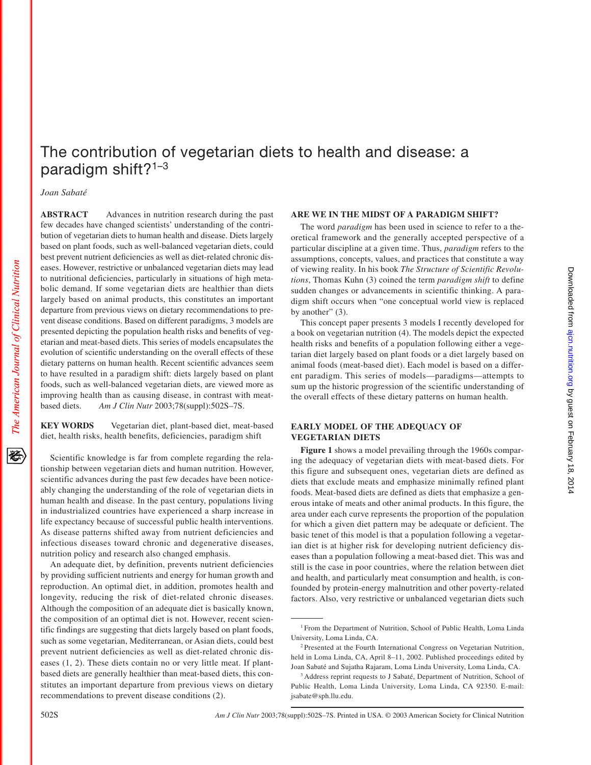# The contribution of vegetarian diets to health and disease: a paradigm shift?<sup>1-3</sup>

*Joan Sabaté*

**ABSTRACT** Advances in nutrition research during the past few decades have changed scientists' understanding of the contribution of vegetarian diets to human health and disease. Diets largely based on plant foods, such as well-balanced vegetarian diets, could best prevent nutrient deficiencies as well as diet-related chronic diseases. However, restrictive or unbalanced vegetarian diets may lead to nutritional deficiencies, particularly in situations of high metabolic demand. If some vegetarian diets are healthier than diets largely based on animal products, this constitutes an important departure from previous views on dietary recommendations to prevent disease conditions. Based on different paradigms, 3 models are presented depicting the population health risks and benefits of vegetarian and meat-based diets. This series of models encapsulates the evolution of scientific understanding on the overall effects of these dietary patterns on human health. Recent scientific advances seem to have resulted in a paradigm shift: diets largely based on plant foods, such as well-balanced vegetarian diets, are viewed more as improving health than as causing disease, in contrast with meatbased diets. *Am J Clin Nutr* 2003;78(suppl):502S–7S.

# **KEY WORDS** Vegetarian diet, plant-based diet, meat-based diet, health risks, health benefits, deficiencies, paradigm shift

Scientific knowledge is far from complete regarding the relationship between vegetarian diets and human nutrition. However, scientific advances during the past few decades have been noticeably changing the understanding of the role of vegetarian diets in human health and disease. In the past century, populations living in industrialized countries have experienced a sharp increase in life expectancy because of successful public health interventions. As disease patterns shifted away from nutrient deficiencies and infectious diseases toward chronic and degenerative diseases, nutrition policy and research also changed emphasis.

An adequate diet, by definition, prevents nutrient deficiencies by providing sufficient nutrients and energy for human growth and reproduction. An optimal diet, in addition, promotes health and longevity, reducing the risk of diet-related chronic diseases. Although the composition of an adequate diet is basically known, the composition of an optimal diet is not. However, recent scientific findings are suggesting that diets largely based on plant foods, such as some vegetarian, Mediterranean, or Asian diets, could best prevent nutrient deficiencies as well as diet-related chronic diseases (1, 2). These diets contain no or very little meat. If plantbased diets are generally healthier than meat-based diets, this constitutes an important departure from previous views on dietary recommendations to prevent disease conditions (2).

## **ARE WE IN THE MIDST OF A PARADIGM SHIFT?**

The word *paradigm* has been used in science to refer to a theoretical framework and the generally accepted perspective of a particular discipline at a given time. Thus, *paradigm* refers to the assumptions, concepts, values, and practices that constitute a way of viewing reality. In his book *The Structure of Scientific Revolutions*, Thomas Kuhn (3) coined the term *paradigm shift* to define sudden changes or advancements in scientific thinking. A paradigm shift occurs when "one conceptual world view is replaced by another" (3).

This concept paper presents 3 models I recently developed for a book on vegetarian nutrition (4). The models depict the expected health risks and benefits of a population following either a vegetarian diet largely based on plant foods or a diet largely based on animal foods (meat-based diet). Each model is based on a different paradigm. This series of models—paradigms—attempts to sum up the historic progression of the scientific understanding of the overall effects of these dietary patterns on human health.

Downloaded from [ajcn.nutrition.org](http://ajcn.nutrition.org/) by guest on February 18, 2014

Downloaded from ajon nutrition org by guest on February 18, 2014

# **EARLY MODEL OF THE ADEQUACY OF VEGETARIAN DIETS**

**Figure 1** shows a model prevailing through the 1960s comparing the adequacy of vegetarian diets with meat-based diets. For this figure and subsequent ones, vegetarian diets are defined as diets that exclude meats and emphasize minimally refined plant foods. Meat-based diets are defined as diets that emphasize a generous intake of meats and other animal products. In this figure, the area under each curve represents the proportion of the population for which a given diet pattern may be adequate or deficient. The basic tenet of this model is that a population following a vegetarian diet is at higher risk for developing nutrient deficiency diseases than a population following a meat-based diet. This was and still is the case in poor countries, where the relation between diet and health, and particularly meat consumption and health, is confounded by protein-energy malnutrition and other poverty-related factors. Also, very restrictive or unbalanced vegetarian diets such

<sup>&</sup>lt;sup>1</sup> From the Department of Nutrition, School of Public Health, Loma Linda University, Loma Linda, CA.

<sup>2</sup> Presented at the Fourth International Congress on Vegetarian Nutrition, held in Loma Linda, CA, April 8–11, 2002. Published proceedings edited by Joan Sabaté and Sujatha Rajaram, Loma Linda University, Loma Linda, CA.

<sup>&</sup>lt;sup>3</sup> Address reprint requests to J Sabaté, Department of Nutrition, School of Public Health, Loma Linda University, Loma Linda, CA 92350. E-mail: jsabate@sph.llu.edu.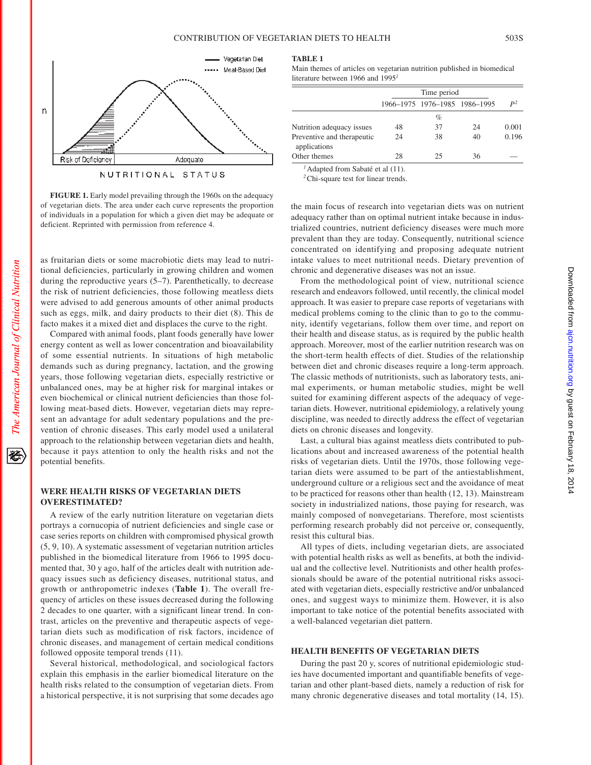

**FIGURE 1.** Early model prevailing through the 1960s on the adequacy of vegetarian diets. The area under each curve represents the proportion of individuals in a population for which a given diet may be adequate or deficient. Reprinted with permission from reference 4.

as fruitarian diets or some macrobiotic diets may lead to nutritional deficiencies, particularly in growing children and women during the reproductive years (5–7). Parenthetically, to decrease the risk of nutrient deficiencies, those following meatless diets were advised to add generous amounts of other animal products such as eggs, milk, and dairy products to their diet (8). This de facto makes it a mixed diet and displaces the curve to the right.

Compared with animal foods, plant foods generally have lower energy content as well as lower concentration and bioavailability of some essential nutrients. In situations of high metabolic demands such as during pregnancy, lactation, and the growing years, those following vegetarian diets, especially restrictive or unbalanced ones, may be at higher risk for marginal intakes or even biochemical or clinical nutrient deficiencies than those following meat-based diets. However, vegetarian diets may represent an advantage for adult sedentary populations and the prevention of chronic diseases. This early model used a unilateral approach to the relationship between vegetarian diets and health, because it pays attention to only the health risks and not the potential benefits.

#### **WERE HEALTH RISKS OF VEGETARIAN DIETS OVERESTIMATED?**

A review of the early nutrition literature on vegetarian diets portrays a cornucopia of nutrient deficiencies and single case or case series reports on children with compromised physical growth (5, 9, 10). A systematic assessment of vegetarian nutrition articles published in the biomedical literature from 1966 to 1995 documented that, 30 y ago, half of the articles dealt with nutrition adequacy issues such as deficiency diseases, nutritional status, and growth or anthropometric indexes (**Table 1**). The overall frequency of articles on these issues decreased during the following 2 decades to one quarter, with a significant linear trend. In contrast, articles on the preventive and therapeutic aspects of vegetarian diets such as modification of risk factors, incidence of chronic diseases, and management of certain medical conditions followed opposite temporal trends (11).

Several historical, methodological, and sociological factors explain this emphasis in the earlier biomedical literature on the health risks related to the consumption of vegetarian diets. From a historical perspective, it is not surprising that some decades ago

## **TABLE 1**

Main themes of articles on vegetarian nutrition published in biomedical literature between 1966 and 1995*<sup>1</sup>*

|                                            |      | 1966-1975 1976-1985 1986-1995 |    | $\mathbf{p}^2$ |  |
|--------------------------------------------|------|-------------------------------|----|----------------|--|
|                                            | $\%$ |                               |    |                |  |
| Nutrition adequacy issues                  | 48   | 37                            | 24 | 0.001          |  |
| Preventive and therapeutic<br>applications | 24   | 38                            | 40 | 0.196          |  |
| Other themes                               | 28   |                               | 36 |                |  |

*<sup>1</sup>*Adapted from Sabaté et al (11).

*<sup>2</sup>*Chi-square test for linear trends.

the main focus of research into vegetarian diets was on nutrient adequacy rather than on optimal nutrient intake because in industrialized countries, nutrient deficiency diseases were much more prevalent than they are today. Consequently, nutritional science concentrated on identifying and proposing adequate nutrient intake values to meet nutritional needs. Dietary prevention of chronic and degenerative diseases was not an issue.

From the methodological point of view, nutritional science research and endeavors followed, until recently, the clinical model approach. It was easier to prepare case reports of vegetarians with medical problems coming to the clinic than to go to the community, identify vegetarians, follow them over time, and report on their health and disease status, as is required by the public health approach. Moreover, most of the earlier nutrition research was on the short-term health effects of diet. Studies of the relationship between diet and chronic diseases require a long-term approach. The classic methods of nutritionists, such as laboratory tests, animal experiments, or human metabolic studies, might be well suited for examining different aspects of the adequacy of vegetarian diets. However, nutritional epidemiology, a relatively young discipline, was needed to directly address the effect of vegetarian diets on chronic diseases and longevity.

Last, a cultural bias against meatless diets contributed to publications about and increased awareness of the potential health risks of vegetarian diets. Until the 1970s, those following vegetarian diets were assumed to be part of the antiestablishment, underground culture or a religious sect and the avoidance of meat to be practiced for reasons other than health (12, 13). Mainstream society in industrialized nations, those paying for research, was mainly composed of nonvegetarians. Therefore, most scientists performing research probably did not perceive or, consequently, resist this cultural bias.

All types of diets, including vegetarian diets, are associated with potential health risks as well as benefits, at both the individual and the collective level. Nutritionists and other health professionals should be aware of the potential nutritional risks associated with vegetarian diets, especially restrictive and/or unbalanced ones, and suggest ways to minimize them. However, it is also important to take notice of the potential benefits associated with a well-balanced vegetarian diet pattern.

#### **HEALTH BENEFITS OF VEGETARIAN DIETS**

During the past 20 y, scores of nutritional epidemiologic studies have documented important and quantifiable benefits of vegetarian and other plant-based diets, namely a reduction of risk for many chronic degenerative diseases and total mortality (14, 15).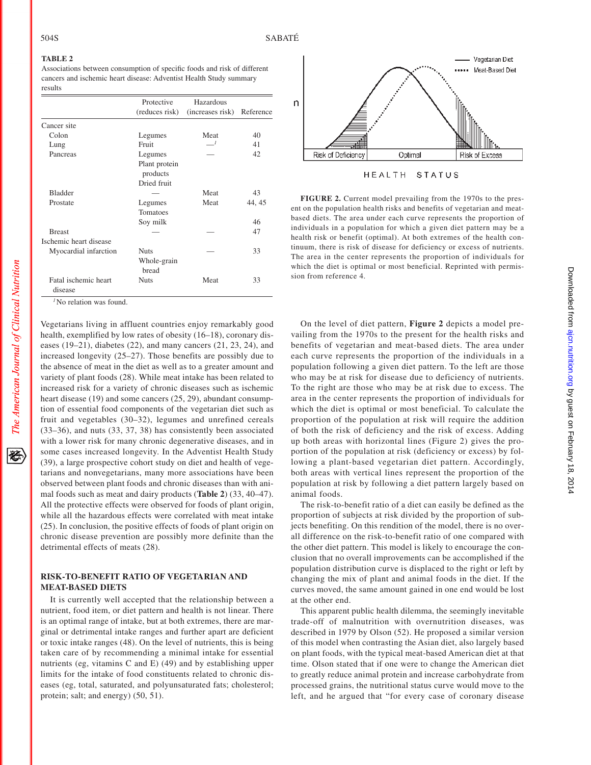# **TABLE 2**

Associations between consumption of specific foods and risk of different cancers and ischemic heart disease: Adventist Health Study summary results

|                                 | Protective     | Hazardous        |           |
|---------------------------------|----------------|------------------|-----------|
|                                 | (reduces risk) | (increases risk) | Reference |
| Cancer site                     |                |                  |           |
| Colon                           | Legumes        | Meat             | 40        |
| Lung                            | Fruit          | $\overline{1}$   | 41        |
| Pancreas                        | Legumes        |                  | 42        |
|                                 | Plant protein  |                  |           |
|                                 | products       |                  |           |
|                                 | Dried fruit    |                  |           |
| <b>Bladder</b>                  |                | Meat             | 43        |
| Prostate                        | Legumes        | Meat             | 44, 45    |
|                                 | Tomatoes       |                  |           |
|                                 | Soy milk       |                  | 46        |
| <b>Breast</b>                   |                |                  | 47        |
| Ischemic heart disease          |                |                  |           |
| Myocardial infarction           | <b>Nuts</b>    |                  | 33        |
|                                 | Whole-grain    |                  |           |
|                                 | bread          |                  |           |
| Fatal ischemic heart<br>disease | <b>Nuts</b>    | Meat             | 33        |

*<sup>1</sup>*No relation was found.

Vegetarians living in affluent countries enjoy remarkably good health, exemplified by low rates of obesity (16–18), coronary diseases (19–21), diabetes (22), and many cancers (21, 23, 24), and increased longevity (25–27). Those benefits are possibly due to the absence of meat in the diet as well as to a greater amount and variety of plant foods (28). While meat intake has been related to increased risk for a variety of chronic diseases such as ischemic heart disease (19) and some cancers (25, 29), abundant consumption of essential food components of the vegetarian diet such as fruit and vegetables (30–32), legumes and unrefined cereals (33–36), and nuts (33, 37, 38) has consistently been associated with a lower risk for many chronic degenerative diseases, and in some cases increased longevity. In the Adventist Health Study (39), a large prospective cohort study on diet and health of vegetarians and nonvegetarians, many more associations have been observed between plant foods and chronic diseases than with animal foods such as meat and dairy products (**Table 2**) (33, 40–47). All the protective effects were observed for foods of plant origin, while all the hazardous effects were correlated with meat intake (25). In conclusion, the positive effects of foods of plant origin on chronic disease prevention are possibly more definite than the detrimental effects of meats (28).

# **RISK-TO-BENEFIT RATIO OF VEGETARIAN AND MEAT-BASED DIETS**

It is currently well accepted that the relationship between a nutrient, food item, or diet pattern and health is not linear. There is an optimal range of intake, but at both extremes, there are marginal or detrimental intake ranges and further apart are deficient or toxic intake ranges (48). On the level of nutrients, this is being taken care of by recommending a minimal intake for essential nutrients (eg, vitamins C and E) (49) and by establishing upper limits for the intake of food constituents related to chronic diseases (eg, total, saturated, and polyunsaturated fats; cholesterol; protein; salt; and energy) (50, 51).



## HEALTH STATUS

**FIGURE 2.** Current model prevailing from the 1970s to the present on the population health risks and benefits of vegetarian and meatbased diets. The area under each curve represents the proportion of individuals in a population for which a given diet pattern may be a health risk or benefit (optimal). At both extremes of the health continuum, there is risk of disease for deficiency or excess of nutrients. The area in the center represents the proportion of individuals for which the diet is optimal or most beneficial. Reprinted with permission from reference 4.

On the level of diet pattern, **Figure 2** depicts a model prevailing from the 1970s to the present for the health risks and benefits of vegetarian and meat-based diets. The area under each curve represents the proportion of the individuals in a population following a given diet pattern. To the left are those who may be at risk for disease due to deficiency of nutrients. To the right are those who may be at risk due to excess. The area in the center represents the proportion of individuals for which the diet is optimal or most beneficial. To calculate the proportion of the population at risk will require the addition of both the risk of deficiency and the risk of excess. Adding up both areas with horizontal lines (Figure 2) gives the proportion of the population at risk (deficiency or excess) by following a plant-based vegetarian diet pattern. Accordingly, both areas with vertical lines represent the proportion of the population at risk by following a diet pattern largely based on animal foods.

The risk-to-benefit ratio of a diet can easily be defined as the proportion of subjects at risk divided by the proportion of subjects benefiting. On this rendition of the model, there is no overall difference on the risk-to-benefit ratio of one compared with the other diet pattern. This model is likely to encourage the conclusion that no overall improvements can be accomplished if the population distribution curve is displaced to the right or left by changing the mix of plant and animal foods in the diet. If the curves moved, the same amount gained in one end would be lost at the other end.

This apparent public health dilemma, the seemingly inevitable trade-off of malnutrition with overnutrition diseases, was described in 1979 by Olson (52). He proposed a similar version of this model when contrasting the Asian diet, also largely based on plant foods, with the typical meat-based American diet at that time. Olson stated that if one were to change the American diet to greatly reduce animal protein and increase carbohydrate from processed grains, the nutritional status curve would move to the left, and he argued that "for every case of coronary disease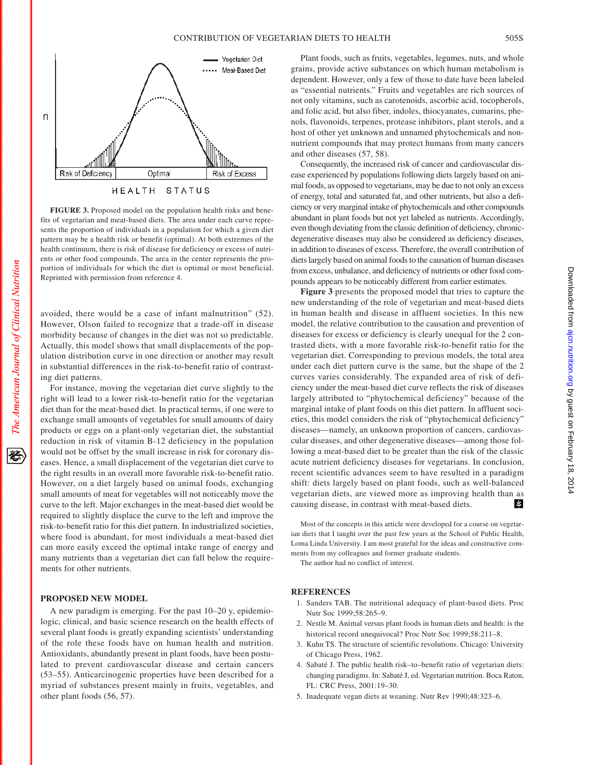

**FIGURE 3.** Proposed model on the population health risks and benefits of vegetarian and meat-based diets. The area under each curve represents the proportion of individuals in a population for which a given diet pattern may be a health risk or benefit (optimal). At both extremes of the health continuum, there is risk of disease for deficiency or excess of nutrients or other food compounds. The area in the center represents the proportion of individuals for which the diet is optimal or most beneficial. Reprinted with permission from reference 4.

avoided, there would be a case of infant malnutrition" (52). However, Olson failed to recognize that a trade-off in disease morbidity because of changes in the diet was not so predictable. Actually, this model shows that small displacements of the population distribution curve in one direction or another may result in substantial differences in the risk-to-benefit ratio of contrasting diet patterns.

For instance, moving the vegetarian diet curve slightly to the right will lead to a lower risk-to-benefit ratio for the vegetarian diet than for the meat-based diet. In practical terms, if one were to exchange small amounts of vegetables for small amounts of dairy products or eggs on a plant-only vegetarian diet, the substantial reduction in risk of vitamin B-12 deficiency in the population would not be offset by the small increase in risk for coronary diseases. Hence, a small displacement of the vegetarian diet curve to the right results in an overall more favorable risk-to-benefit ratio. However, on a diet largely based on animal foods, exchanging small amounts of meat for vegetables will not noticeably move the curve to the left. Major exchanges in the meat-based diet would be required to slightly displace the curve to the left and improve the risk-to-benefit ratio for this diet pattern. In industrialized societies, where food is abundant, for most individuals a meat-based diet can more easily exceed the optimal intake range of energy and many nutrients than a vegetarian diet can fall below the requirements for other nutrients.

#### **PROPOSED NEW MODEL**

A new paradigm is emerging. For the past 10–20 y, epidemiologic, clinical, and basic science research on the health effects of several plant foods is greatly expanding scientists' understanding of the role these foods have on human health and nutrition. Antioxidants, abundantly present in plant foods, have been postulated to prevent cardiovascular disease and certain cancers (53–55). Anticarcinogenic properties have been described for a myriad of substances present mainly in fruits, vegetables, and other plant foods (56, 57).

Plant foods, such as fruits, vegetables, legumes, nuts, and whole grains, provide active substances on which human metabolism is dependent. However, only a few of those to date have been labeled as "essential nutrients." Fruits and vegetables are rich sources of not only vitamins, such as carotenoids, ascorbic acid, tocopherols, and folic acid, but also fiber, indoles, thiocyanates, cumarins, phenols, flavonoids, terpenes, protease inhibitors, plant sterols, and a host of other yet unknown and unnamed phytochemicals and nonnutrient compounds that may protect humans from many cancers and other diseases (57, 58).

Consequently, the increased risk of cancer and cardiovascular disease experienced by populations following diets largely based on animal foods, as opposed to vegetarians, may be due to not only an excess of energy, total and saturated fat, and other nutrients, but also a deficiency or very marginal intake of phytochemicals and other compounds abundant in plant foods but not yet labeled as nutrients. Accordingly, even though deviating from the classic definition of deficiency, chronicdegenerative diseases may also be considered as deficiency diseases, in addition to diseases of excess. Therefore, the overall contribution of diets largely based on animal foods to the causation of human diseases from excess, unbalance, and deficiency of nutrients or other food compounds appears to be noticeably different from earlier estimates.

**Figure 3** presents the proposed model that tries to capture the new understanding of the role of vegetarian and meat-based diets in human health and disease in affluent societies. In this new model, the relative contribution to the causation and prevention of diseases for excess or deficiency is clearly unequal for the 2 contrasted diets, with a more favorable risk-to-benefit ratio for the vegetarian diet. Corresponding to previous models, the total area under each diet pattern curve is the same, but the shape of the 2 curves varies considerably. The expanded area of risk of deficiency under the meat-based diet curve reflects the risk of diseases largely attributed to "phytochemical deficiency" because of the marginal intake of plant foods on this diet pattern. In affluent societies, this model considers the risk of "phytochemical deficiency" diseases—namely, an unknown proportion of cancers, cardiovascular diseases, and other degenerative diseases—among those following a meat-based diet to be greater than the risk of the classic acute nutrient deficiency diseases for vegetarians. In conclusion, recent scientific advances seem to have resulted in a paradigm shift: diets largely based on plant foods, such as well-balanced vegetarian diets, are viewed more as improving health than as k. causing disease, in contrast with meat-based diets.

Most of the concepts in this article were developed for a course on vegetarian diets that I taught over the past few years at the School of Public Health, Loma Linda University. I am most grateful for the ideas and constructive comments from my colleagues and former graduate students.

The author had no conflict of interest.

#### **REFERENCES**

- 1. Sanders TAB. The nutritional adequacy of plant-based diets. Proc Nutr Soc 1999;58:265–9.
- 2. Nestle M. Animal versus plant foods in human diets and health: is the historical record unequivocal? Proc Nutr Soc 1999;58:211-8.
- 3. Kuhn TS. The structure of scientific revolutions. Chicago: University of Chicago Press, 1962.
- 4. Sabaté J. The public health risk–to–benefit ratio of vegetarian diets: changing paradigms. In: Sabaté J, ed. Vegetarian nutrition. Boca Raton, FL: CRC Press, 2001:19–30.
- 5. Inadequate vegan diets at weaning. Nutr Rev 1990;48:323–6.

Downloaded from [ajcn.nutrition.org](http://ajcn.nutrition.org/) by guest on February 18, 2014

Downloaded from ajon.nutrition.org by guest on February 18, 2014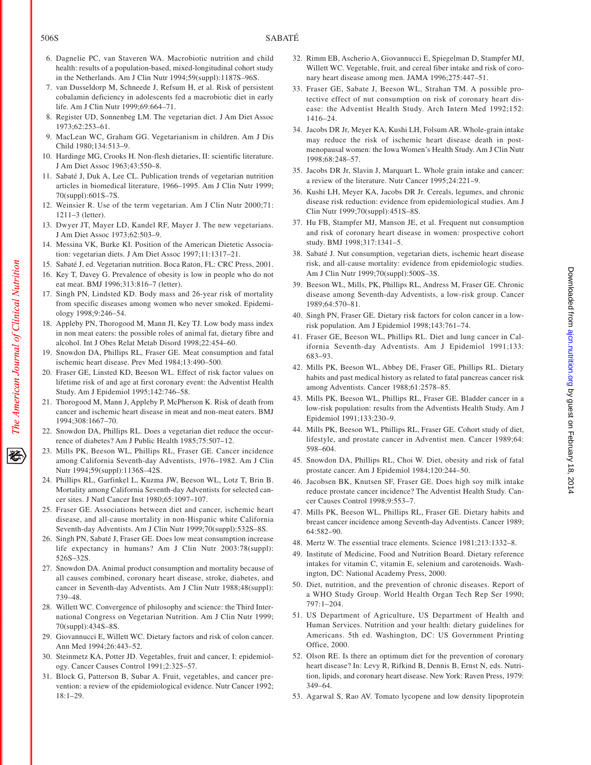- 6. Dagnelie PC, van Staveren WA. Macrobiotic nutrition and child health: results of a population-based, mixed-longitudinal cohort study in the Netherlands. Am J Clin Nutr 1994;59(suppl):1187S–96S.
- 7. van Dusseldorp M, Schneede J, Refsum H, et al. Risk of persistent cobalamin deficiency in adolescents fed a macrobiotic diet in early life. Am J Clin Nutr 1999;69:664–71.
- 8. Register UD, Sonnenbeg LM. The vegetarian diet. J Am Diet Assoc 1973;62:253–61.
- 9. MacLean WC, Graham GG. Vegetarianism in children. Am J Dis Child 1980;134:513–9.
- 10. Hardinge MG, Crooks H. Non-flesh dietaries, II: scientific literature. J Am Diet Assoc 1963;43:550–8.
- 11. Sabaté J, Duk A, Lee CL. Publication trends of vegetarian nutrition articles in biomedical literature, 1966–1995. Am J Clin Nutr 1999; 70(suppl):601S–7S.
- 12. Weinsier R. Use of the term vegetarian. Am J Clin Nutr 2000;71: 1211–3 (letter).
- 13. Dwyer JT, Mayer LD, Kandel RF, Mayer J. The new vegetarians. J Am Diet Assoc 1973;62:503–9.
- 14. Messina VK, Burke KI. Position of the American Dietetic Association: vegetarian diets. J Am Diet Assoc 1997;11:1317–21.
- 15. Sabaté J, ed. Vegetarian nutrition. Boca Raton, FL: CRC Press, 2001.
- 16. Key T, Davey G. Prevalence of obesity is low in people who do not eat meat. BMJ 1996;313:816–7 (letter).
- 17. Singh PN, Lindsted KD. Body mass and 26-year risk of mortality from specific diseases among women who never smoked. Epidemiology 1998;9:246–54.
- 18. Appleby PN, Thorogood M, Mann JI, Key TJ. Low body mass index in non meat eaters: the possible roles of animal fat, dietary fibre and alcohol. Int J Obes Relat Metab Disord 1998;22:454–60.
- 19. Snowdon DA, Phillips RL, Fraser GE. Meat consumption and fatal ischemic heart disease. Prev Med 1984;13:490–500.
- 20. Fraser GE, Linsted KD, Beeson WL. Effect of risk factor values on lifetime risk of and age at first coronary event: the Adventist Health Study. Am J Epidemiol 1995;142:746–58.
- 21. Thorogood M, Mann J, Appleby P, McPherson K. Risk of death from cancer and ischemic heart disease in meat and non-meat eaters. BMJ 1994;308:1667–70.
- 22. Snowdon DA, Phillips RL. Does a vegetarian diet reduce the occurrence of diabetes? Am J Public Health 1985;75:507–12.
- 23. Mills PK, Beeson WL, Phillips RL, Fraser GE. Cancer incidence among California Seventh-day Adventists, 1976–1982. Am J Clin Nutr 1994;59(suppl):1136S–42S.
- 24. Phillips RL, Garfinkel L, Kuzma JW, Beeson WL, Lotz T, Brin B. Mortality among California Seventh-day Adventists for selected cancer sites. J Natl Cancer Inst 1980;65:1097–107.
- 25. Fraser GE. Associations between diet and cancer, ischemic heart disease, and all-cause mortality in non-Hispanic white California Seventh-day Adventists. Am J Clin Nutr 1999;70(suppl):532S–8S.
- 26. Singh PN, Sabaté J, Fraser GE. Does low meat consumption increase life expectancy in humans? Am J Clin Nutr 2003:78(suppl): 526S–32S.
- 27. Snowdon DA. Animal product consumption and mortality because of all causes combined, coronary heart disease, stroke, diabetes, and cancer in Seventh-day Adventists. Am J Clin Nutr 1988;48(suppl): 739–48.
- 28. Willett WC. Convergence of philosophy and science: the Third International Congress on Vegetarian Nutrition. Am J Clin Nutr 1999; 70(suppl):434S–8S.
- 29. Giovannucci E, Willett WC. Dietary factors and risk of colon cancer. Ann Med 1994;26:443–52.
- 30. Steinmetz KA, Potter JD. Vegetables, fruit and cancer, I: epidemiology. Cancer Causes Control 1991;2:325–57.
- 31. Block G, Patterson B, Subar A. Fruit, vegetables, and cancer prevention: a review of the epidemiological evidence. Nutr Cancer 1992; 18:1–29.
- 32. Rimm EB, Ascherio A, Giovannucci E, Spiegelman D, Stampfer MJ, Willett WC. Vegetable, fruit, and cereal fiber intake and risk of coronary heart disease among men. JAMA 1996;275:447–51.
- 33. Fraser GE, Sabate J, Beeson WL, Strahan TM. A possible protective effect of nut consumption on risk of coronary heart disease: the Adventist Health Study. Arch Intern Med 1992;152: 1416–24.
- 34. Jacobs DR Jr, Meyer KA, Kushi LH, Folsum AR. Whole-grain intake may reduce the risk of ischemic heart disease death in postmenopausal women: the Iowa Women's Health Study. Am J Clin Nutr 1998;68:248–57.
- 35. Jacobs DR Jr, Slavin J, Marquart L. Whole grain intake and cancer: a review of the literature. Nutr Cancer 1995;24:221–9.
- 36. Kushi LH, Meyer KA, Jacobs DR Jr. Cereals, legumes, and chronic disease risk reduction: evidence from epidemiological studies. Am J Clin Nutr 1999;70(suppl):451S–8S.
- 37. Hu FB, Stampfer MJ, Manson JE, et al. Frequent nut consumption and risk of coronary heart disease in women: prospective cohort study. BMJ 1998;317:1341–5.
- 38. Sabaté J. Nut consumption, vegetarian diets, ischemic heart disease risk, and all-cause mortality: evidence from epidemiologic studies. Am J Clin Nutr 1999;70(suppl):500S–3S.
- 39. Beeson WL, Mills, PK, Phillips RL, Andress M, Fraser GE. Chronic disease among Seventh-day Adventists, a low-risk group. Cancer 1989;64:570–81.
- 40. Singh PN, Fraser GE. Dietary risk factors for colon cancer in a lowrisk population. Am J Epidemiol 1998;143:761–74.
- 41. Fraser GE, Beeson WL, Phillips RL. Diet and lung cancer in California Seventh-day Adventists. Am J Epidemiol 1991;133: 683–93.
- 42. Mills PK, Beeson WL, Abbey DE, Fraser GE, Phillips RL. Dietary habits and past medical history as related to fatal pancreas cancer risk among Adventists. Cancer 1988;61:2578–85.
- 43. Mills PK, Beeson WL, Phillips RL, Fraser GE. Bladder cancer in a low-risk population: results from the Adventists Health Study. Am J Epidemiol 1991;133:230–9.
- 44. Mills PK, Beeson WL, Phillips RL, Fraser GE. Cohort study of diet, lifestyle, and prostate cancer in Adventist men. Cancer 1989;64: 598–604.
- 45. Snowdon DA, Phillips RL, Choi W. Diet, obesity and risk of fatal prostate cancer. Am J Epidemiol 1984;120:244–50.
- 46. Jacobsen BK, Knutsen SF, Fraser GE. Does high soy milk intake reduce prostate cancer incidence? The Adventist Health Study. Cancer Causes Control 1998;9:553–7.
- 47. Mills PK, Beeson WL, Phillips RL, Fraser GE. Dietary habits and breast cancer incidence among Seventh-day Adventists. Cancer 1989; 64:582–90.
- 48. Mertz W. The essential trace elements. Science 1981;213:1332–8.
- 49. Institute of Medicine, Food and Nutrition Board. Dietary reference intakes for vitamin C, vitamin E, selenium and carotenoids. Washington, DC: National Academy Press, 2000.
- 50. Diet, nutrition, and the prevention of chronic diseases. Report of a WHO Study Group. World Health Organ Tech Rep Ser 1990; 797:1–204.
- 51. US Department of Agriculture, US Department of Health and Human Services. Nutrition and your health: dietary guidelines for Americans. 5th ed. Washington, DC: US Government Printing Office, 2000.
- 52. Olson RE. Is there an optimum diet for the prevention of coronary heart disease? In: Levy R, Rifkind B, Dennis B, Ernst N, eds. Nutrition, lipids, and coronary heart disease. New York: Raven Press, 1979: 349–64.
- 53. Agarwal S, Rao AV. Tomato lycopene and low density lipoprotein